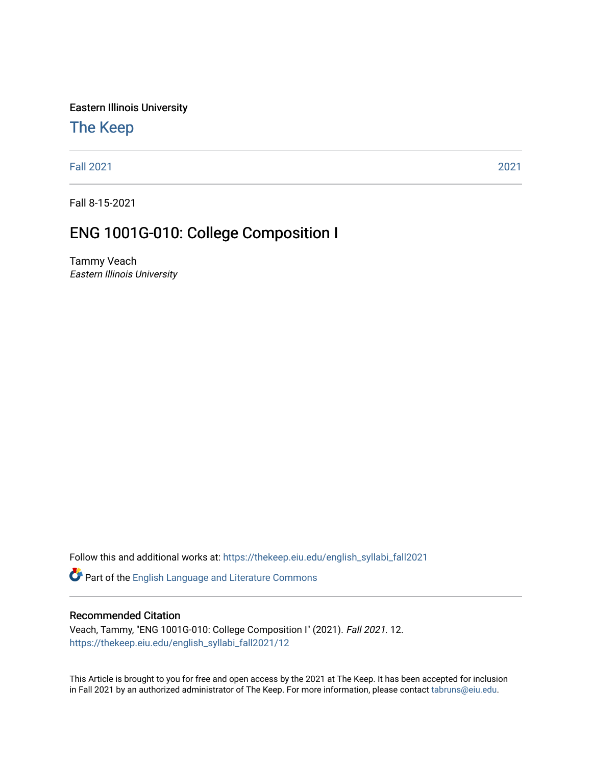Eastern Illinois University

# [The Keep](https://thekeep.eiu.edu/)

[Fall 2021](https://thekeep.eiu.edu/english_syllabi_fall2021) [2021](https://thekeep.eiu.edu/english_syllabi2021) 

Fall 8-15-2021

# ENG 1001G-010: College Composition I

Tammy Veach Eastern Illinois University

Follow this and additional works at: [https://thekeep.eiu.edu/english\\_syllabi\\_fall2021](https://thekeep.eiu.edu/english_syllabi_fall2021?utm_source=thekeep.eiu.edu%2Fenglish_syllabi_fall2021%2F12&utm_medium=PDF&utm_campaign=PDFCoverPages) 

Part of the [English Language and Literature Commons](http://network.bepress.com/hgg/discipline/455?utm_source=thekeep.eiu.edu%2Fenglish_syllabi_fall2021%2F12&utm_medium=PDF&utm_campaign=PDFCoverPages)

## Recommended Citation

Veach, Tammy, "ENG 1001G-010: College Composition I" (2021). Fall 2021. 12. [https://thekeep.eiu.edu/english\\_syllabi\\_fall2021/12](https://thekeep.eiu.edu/english_syllabi_fall2021/12?utm_source=thekeep.eiu.edu%2Fenglish_syllabi_fall2021%2F12&utm_medium=PDF&utm_campaign=PDFCoverPages)

This Article is brought to you for free and open access by the 2021 at The Keep. It has been accepted for inclusion in Fall 2021 by an authorized administrator of The Keep. For more information, please contact [tabruns@eiu.edu](mailto:tabruns@eiu.edu).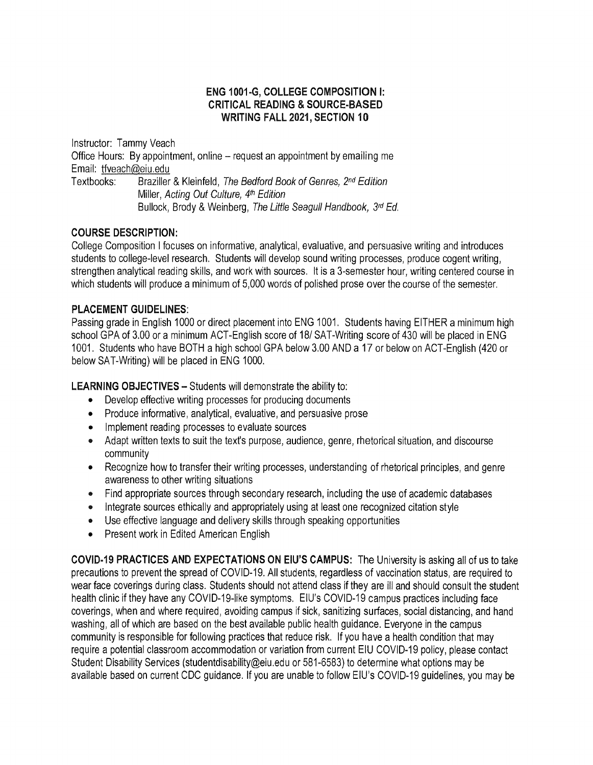# **ENG 1001-G, COLLEGE COMPOSITION** I: **CRITICAL READING** & **SOURCE-BASED WRITING FALL 2021, SECTION 10**

Instructor: Tammy Veach Office Hours: By appointment, online - request an appointment by emailing me Email: tfveach@eiu.edu<br>Textbooks: Braziller Braziller & Kleinfeld, The Bedford Book of Genres, 2<sup>nd</sup> Edition Miller, Acting Out Culture, 4th Edition Bullock, Brody & Weinberg, The Little Seagull Handbook, 3rd Ed.

# **COURSE DESCRIPTION:**

College Composition I focuses on informative, analytical, evaluative, and persuasive writing and introduces students to college-level research. Students will develop sound writing processes, produce cogent writing, strengthen analytical reading skills, and work with sources. It is a 3-semester hour, writing centered course in which students will produce a minimum of 5,000 words of polished prose over the course of the semester.

# **PLACEMENT GUIDELINES:**

Passing grade in English 1000 or direct placement into ENG 1001. Students having EITHER a minimum high school GPA of 3.00 or a minimum ACT-English score of 18/ SAT-Writing score of 430 will be placed in ENG 1001. Students who have BOTH a high school GPA below 3.00 AND a 17 or below on ACT-English (420 or below SAT-Writing) will be placed in ENG 1000.

LEARNING OBJECTIVES - Students will demonstrate the ability to:

- Develop effective writing processes for producing documents
- Produce informative, analytical, evaluative, and persuasive prose
- Implement reading processes to evaluate sources
- Adapt written texts to suit the text's purpose, audience, genre, rhetorical situation, and discourse community
- Recognize how to transfer their writing processes, understanding of rhetorical principles, and genre awareness to other writing situations
- Find appropriate sources through secondary research, including the use of academic databases
- Integrate sources ethically and appropriately using at least one recognized citation style
- Use effective language and delivery skills through speaking opportunities
- Present work in Edited American English

**COVID-19 PRACTICES AND EXPECTATIONS ON EIU'S CAMPUS:** The University is asking all of us to take precautions to prevent the spread of COVID-19. All students, regardless of vaccination status, are required to wear face coverings during class. Students should not attend class if they are ill and should consult the student health clinic if they have any COVID-19-like symptoms. EIU's COVID-19 campus practices including face coverings, when and where required, avoiding campus if sick, sanitizing surfaces, social distancing, and hand washing, all of which are based on the best available public health guidance. Everyone in the campus community is responsible for following practices that reduce risk. If you have a health condition that may require a potential classroom accommodation or variation from current EIU COVID-19 policy, please contact Student Disability Services (studentdisability@eiu.edu or 581-6583) to determine what options may be available based on current CDC guidance. If you are unable to follow EIU's COVID-19 guidelines, you may be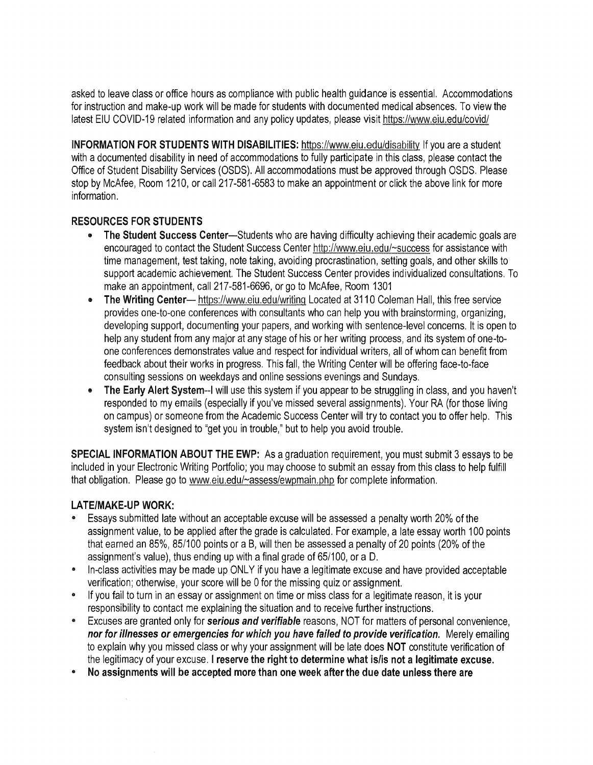asked to leave class or office hours as compliance with public health guidance is essential. Accommodations for instruction and make-up work will be made for students with documented medical absences. To view the latest EIU COVID-19 related information and any policy updates, please visit https://www.eiu.edu/covid/

**INFORMATION FOR STUDENTS WITH DISABILITIES:** https://www.eiu.edu/disability If you are a student with a documented disability in need of accommodations to fully participate in this class, please contact the Office of Student Disability Services (OSDS). All accommodations must be approved through OSDS. Please stop by McAfee, Room 1210, or call 217-581-6583 to make an appointment or click the above link for more information.

# **RESOURCES FOR STUDENTS**

- **The Student Success** Center-Students who are having difficulty achieving their academic goals are encouraged to contact the Student Success Center http://www.eiu.edu/~success for assistance with time management, test taking, note taking, avoiding procrastination, setting goals, and other skills to support academic achievement. The Student Success Center provides individualized consultations. To make an appointment, call 217-581-6696, or go to McAfee, Room 1301
- **The Writing Center—** https://www.eiu.edu/writing Located at 3110 Coleman Hall, this free service provides one-to-one conferences with consultants who can help you with brainstorming, organizing, developing support, documenting your papers, and working with sentence-level concerns. It is open to help any student from any major at any stage of his or her writing process, and its system of one-toone conferences demonstrates value and respect for individual writers, all of whom can benefit from feedback about their works in progress. This fall, the Writing Center will be offering face-to-face consulting sessions on weekdays and online sessions evenings and Sundays.
- **The Early Alert System--1** will use this system if you appear to be struggling in class, and you haven't responded to my emails (especially if you've missed several assignments). Your RA (for those living on campus) or someone from the Academic Success Center will try to contact you to offer help. This system isn't designed to "get you in trouble," but to help you avoid trouble.

**SPECIAL INFORMATION ABOUT THE EWP:** As a graduation requirement, you must submit 3 essays to be included in your Electronic Writing Portfolio; you may choose to submit an essay from this class to help fulfill that obligation. Please go to www.eiu.edu/~assess/ewpmain.ohp for complete information.

# **LATE/MAKE-UP WORK:**

- Essays submitted late without an acceptable excuse will be assessed a penalty worth 20% of the assignment value, to be applied after the grade is calculated. For example, a late essay worth 100 points that earned an 85%, 85/100 points or a B, will then be assessed a penalty of 20 points (20% of the assignment's value), thus ending up with a final grade of 65/100, or a D.
- In-class activities may be made up ONLY if you have a legitimate excuse and have provided acceptable verification; otherwise, your score will be O for the missing quiz or assignment.
- If you fail to turn in an essay or assignment on time or miss class for a legitimate reason, it is your responsibility to contact me explaining the situation and to receive further instructions.
- Excuses are granted only for **serious and verifiable** reasons, NOT for matters of personal convenience, **nor for illnesses or emergencies for which you have failed to provide verification.** Merely emailing to explain why you missed class or why your assignment will be late does NOT constitute verification of the legitimacy of your excuse. I **reserve the right to determine what is/is not a legitimate excuse.**
- **No assignments will be accepted more than one week after the due date unless there are**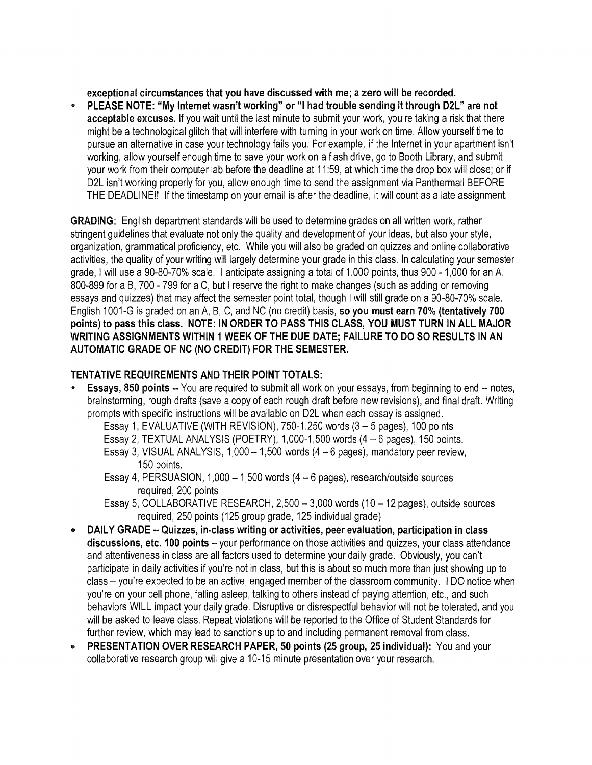**exceptional circumstances that you have discussed with me; a zero will be recorded.** 

• **PLEASE NOTE: "My Internet wasn't working" or** "I **had trouble sending it through D2L" are not acceptable excuses.** If you wait until the last minute to submit your work, you're taking a risk that there might be a technological glitch that will interfere with turning in your work on time. Allow yourself time to pursue an alternative in case your technology fails you. For example, if the Internet in your apartment isn't working, allow yourself enough time to save your work on a flash drive, go to Booth Library, and submit your work from their computer lab before the deadline at 11 :59, at which time the drop box will close; or if D2L isn't working properly for you, allow enough time to send the assignment via Panthermail BEFORE THE DEADLINE!! If the timestamp on your email is after the deadline, it will count as a late assignment.

**GRADING:** English department standards will be used to determine grades on all written work, rather stringent guidelines that evaluate not only the quality and development of your ideas, but also your style, organization, grammatical proficiency, etc. While you will also be graded on quizzes and online collaborative activities, the quality of your writing will largely determine your grade in this class. In calculating your semester grade, I will use a 90-80-70% scale. I anticipate assigning a total of 1,000 points, thus 900 - 1,000 for an A, 800-899 for a B, 700 - 799 for a C, but I reserve the right to make changes (such as adding or removing essays and quizzes) that may affect the semester point total, though I will still grade on a 90-80-70% scale. English 1001-G is graded on an A, B, C, and NC (no credit) basis, **so you must earn 70% (tentatively 700 points) to pass this class. NOTE: IN ORDER TO PASS THIS CLASS, YOU MUST TURN IN ALL MAJOR WRITING ASSIGNMENTS WITHIN 1 WEEK OF THE DUE DATE; FAILURE TO DO SO RESULTS IN AN AUTOMATIC GRADE OF NC (NO CREDIT) FOR THE SEMESTER.** 

# **TENTATIVE REQUIREMENTS AND THEIR POINT TOTALS:**

**Essays, 850 points --** You are required to submit all work on your essays, from beginning to end -- notes, brainstorming, rough drafts (save a copy of each rough draft before new revisions), and final draft. Writing prompts with specific instructions will be available on D2L when each essay is assigned.

Essay 1, EVALUATIVE (WITH REVISION),  $750-1.250$  words  $(3-5$  pages), 100 points

Essay 2, TEXTUAL ANALYSIS (POETRY), 1,000-1,500 words (4 - 6 pages), 150 points.

Essay 3, VISUAL ANALYSIS,  $1,000 - 1,500$  words  $(4 - 6$  pages), mandatory peer review, 150 points.

Essay 4, PERSUASION, 1,000-1,500 words (4-6 pages), research/outside sources required, 200 points

Essay 5, COLLABORATIVE RESEARCH,  $2,500 - 3,000$  words (10 - 12 pages), outside sources required, 250 points (125 group grade, 125 individual grade)

- **DAILY GRADE Quizzes, in-class writing or activities, peer evaluation, participation in class discussions, etc. 100 points** - your performance on those activities and quizzes, your class attendance and attentiveness in class are all factors used to determine your daily grade. Obviously, you can't participate in daily activities if you're not in class, but this is about so much more than just showing up to class - you're expected to be an active, engaged member of the classroom community. I DO notice when you're on your cell phone, falling asleep, talking to others instead of paying attention, etc., and such behaviors WILL impact your daily grade. Disruptive or disrespectful behavior will not be tolerated, and you will be asked to leave class. Repeat violations will be reported to the Office of Student Standards for further review, which may lead to sanctions up to and including permanent removal from class.
- **PRESENTATION OVER RESEARCH PAPER, 50 points (25 group, 25 individual):** You and your collaborative research group will give a 10-15 minute presentation over your research.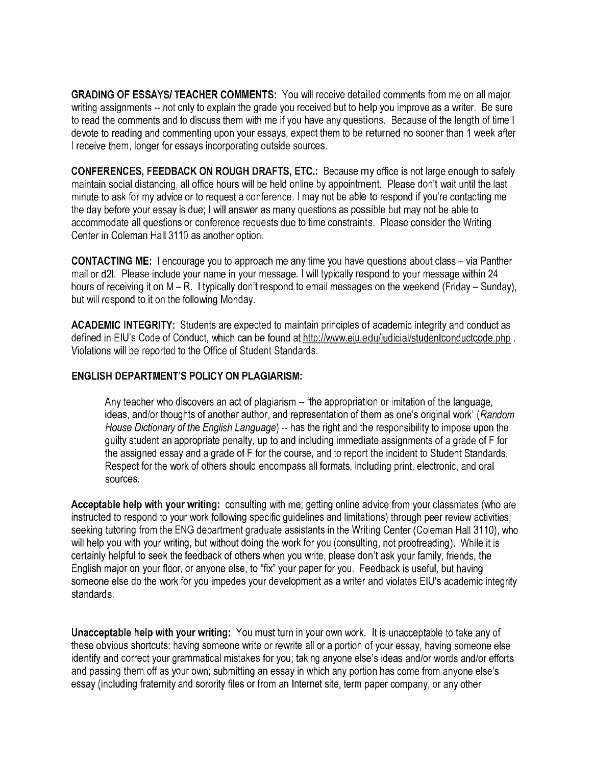**GRADING OF ESSAYS/ TEACHER COMMENTS:** You will receive detailed comments from me on all major writing assignments -- not only to explain the grade you received but to help you improve as a writer. Be sure to read the comments and to discuss them with me if you have any questions. Because of the length of time I devote to reading and commenting upon your essays, expect them to be returned no sooner than 1 week after I receive them, longer for essays incorporating outside sources.

**CONFERENCES, FEEDBACK ON ROUGH DRAFTS, ETC.:** Because my office is not large enough to safely maintain social distancing, all office hours will be held online by appointment. Please don't wait until the last minute to ask for my advice or to request a conference. I may not be able to respond if you're contacting me the day before your essay is due; I will answer as many questions as possible but may not be able to accommodate all questions or conference requests due to time constraints. Please consider the Writing Center in Coleman Hall 3110 as another option.

**CONTACTING ME:** I encourage you to approach me any time you have questions about class – via Panther mail or d2I. Please include your name in your message. I will typically respond to your message within 24 hours of receiving it on M - R. I typically don't respond to email messages on the weekend (Friday - Sunday), but will respond to it on the following Monday.

**ACADEMIC INTEGRITY:** Students are expected to maintain principles of academic integrity and conduct as defined in EIU's Code of Conduct, which can be found at http://www.eiu.edu/judicial/studentconductcode.php . Violations will be reported to the Office of Student Standards.

## **ENGLISH DEPARTMENT'S POLICY ON PLAGIARISM:**

Any teacher who discovers an act of plagiarism -- 'the appropriation or imitation of the language, ideas, and/or thoughts of another author, and representation of them as one's original work' (Random House Dictionary of the English Language) -- has the right and the responsibility to impose upon the guilty student an appropriate penalty, up to and including immediate assignments of a grade of F for the assigned essay and a grade of F for the course, and to report the incident to Student Standards. Respect for the work of others should encompass all formats, including print, electronic, and oral sources.

**Acceptable help with your writing:** consulting with me; getting online advice from your classmates (who are instructed to respond to your work following specific guidelines and limitations) through peer review activities; seeking tutoring from the ENG department graduate assistants in the Writing Center (Coleman Hall 3110), who will help you with your writing, but without doing the work for you (consulting, not proofreading). While it is certainly helpful to seek the feedback of others when you write, please don't ask your family, friends, the English major on your floor, or anyone else, to "fix" your paper for you. Feedback is useful, but having someone else do the work for you impedes your development as a writer and violates EIU's academic integrity standards.

**Unacceptable help with your writing:** You must turn in your own work. It is unacceptable to take any of these obvious shortcuts: having someone write or rewrite all or a portion of your essay, having someone else identify and correct your grammatical mistakes for you; taking anyone else's ideas and/or words and/or efforts and passing them off as your own; submitting an essay in which any portion has come from anyone else's essay (including fraternity and sorority files or from an Internet site, term paper company, or any other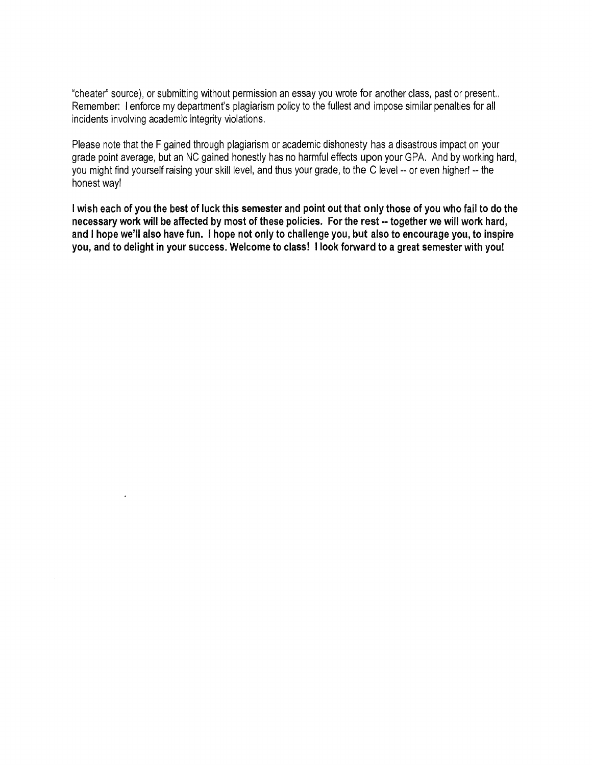"cheater" source), or submitting without permission an essay you wrote for another class, past or present.. Remember: I enforce my department's plagiarism policy to the fullest and impose similar penalties for all incidents involving academic integrity violations.

Please note that the F gained through plagiarism or academic dishonesty has a disastrous impact on your grade point average, but an NC gained honestly has no harmful effects upon your GPA. And by working hard, you might find yourself raising your skill level, and thus your grade, to the C level -- or even higher! -- the honest way!

I **wish each of you the best of luck this semester and point out that only those of you who fail to do the necessary work will be affected by most of these policies. For the rest** •· **together we will work hard,**  and I **hope we'll also have fun.** I **hope not only to challenge you, but also to encourage you, to inspire you, and to delight in your success. Welcome to class!** I **look forward to a great semester with you!**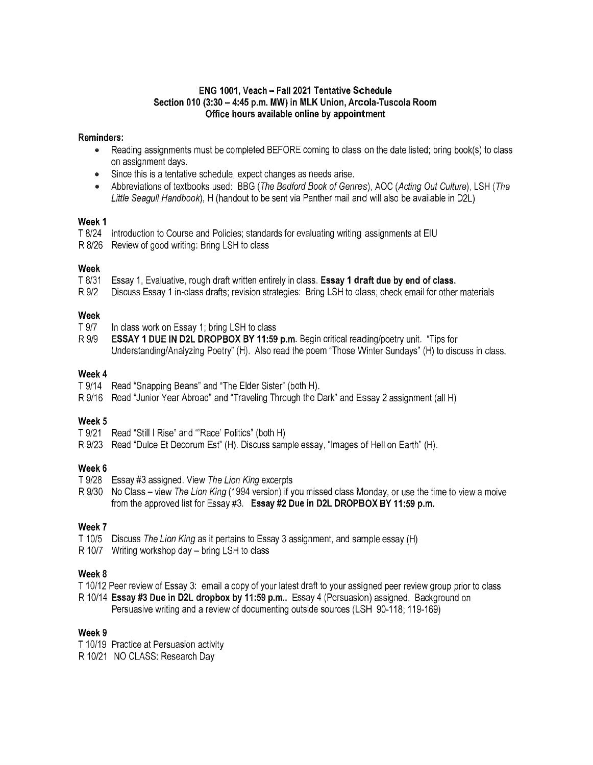## **ENG 1001, Veach** - **Fall 2021 Tentative Schedule Section 010 (3:30- 4:45 p.m. MW) in MLK Union, Arcola-Tuscola Room Office hours available online by appointment**

## **Reminders:**

- Reading assignments must be completed BEFORE coming to class on the date listed; bring book(s) to class on assignment days.
- Since this is a tentative schedule, expect changes as needs arise.
- Abbreviations of textbooks used: BBG (The Bedford Book of Genres), AOC (Acting Out Culture), LSH (The Little Seagull Handbook), H (handout to be sent via Panther mail and will also be available in D2L)

#### **Week** 1

- T 8/24 Introduction to Course and Policies; standards for evaluating writing assignments at EIU
- R 8/26 Review of good writing: Bring LSH to class

## **Week**

- T 8/31 Essay 1, Evaluative, rough draft written entirely in class. **Essay 1 draft due by end of class.**
- R 9/2 Discuss Essay 1 in-class drafts; revision strategies: Bring LSH to class; check email for other materials

## **Week**

- T 9/7 In class work on Essay 1; bring LSH to class
- R 9/9 **ESSAY 1 DUE IN D2L DROP BOX BY 11 :59 p.m.** Begin critical reading/poetry unit. "Tips for Understanding/Analyzing Poetry" (H). Also read the poem "Those Winter Sundays" (H) to discuss in class.

## **Week4**

- T 9/14 Read "Snapping Beans" and "The Elder Sister" (both H).
- R 9/16 Read "Junior Year Abroad" and "Traveling Through the Dark" and Essay 2 assignment (all H)

## **Week5**

- T 9/21 Read "Still I Rise" and '"Race' Politics" (both H)
- R 9/23 Read "Dulce Et Decorum Est" (H). Discuss sample essay, "Images of Hell on Earth" (H).

## **Week6**

- T 9/28 Essay #3 assigned. View The Lion King excerpts
- R 9/30 No Class view The Lion King (1994 version) if you missed class Monday, or use the time to view a moive from the approved list for Essay #3. **Essay #2 Due in D2L DROPBOX BY 11 :59 p.m.**

## **Week7**

- T 10/5 Discuss The Lion King as it pertains to Essay 3 assignment, and sample essay (H)
- R 10/7 Writing workshop day bring LSH to class

## **Week8**

- T 10/12 Peer review of Essay 3: email a copy of your latest draft to your assigned peer review group prior to class
- R 10/14 **Essay #3 Due in D2L dropbox by 11 :59 p.m ..** Essay 4 (Persuasion) assigned. Background on Persuasive writing and a review of documenting outside sources (LSH 90-118; 119-169)

## **Week9**

- T 10/19 Practice at Persuasion activity
- R 10/21 NO CLASS: Research Day